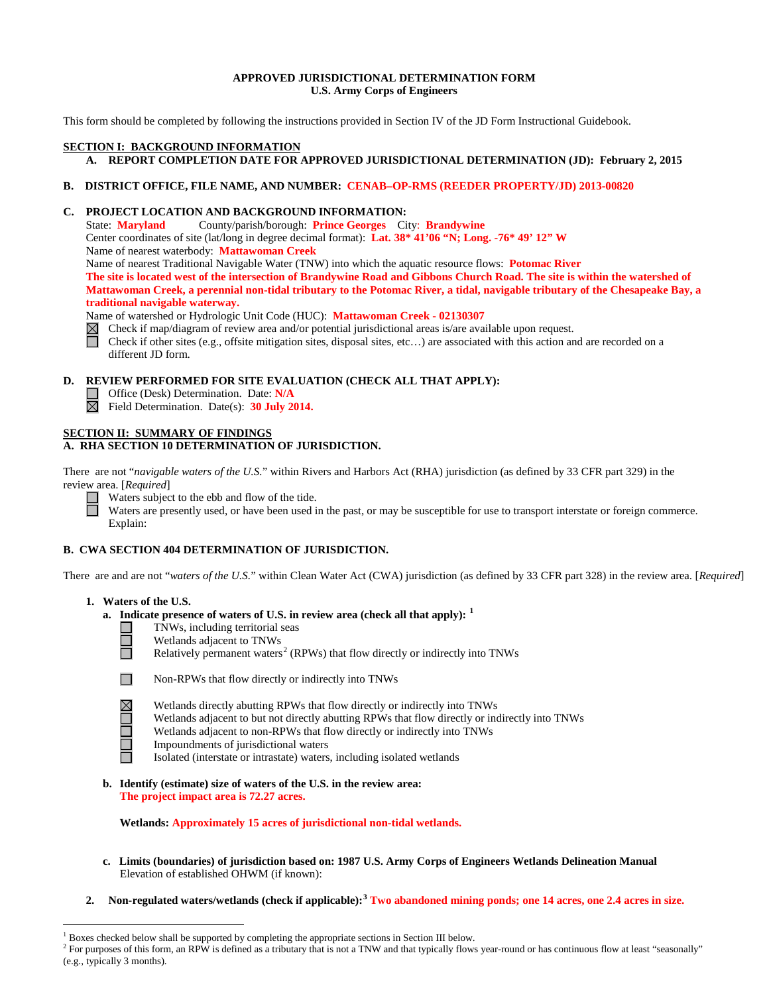### **APPROVED JURISDICTIONAL DETERMINATION FORM U.S. Army Corps of Engineers**

This form should be completed by following the instructions provided in Section IV of the JD Form Instructional Guidebook.

# **SECTION I: BACKGROUND INFORMATION**

# **A. REPORT COMPLETION DATE FOR APPROVED JURISDICTIONAL DETERMINATION (JD): February 2, 2015**

### **B. DISTRICT OFFICE, FILE NAME, AND NUMBER: CENAB–OP-RMS (REEDER PROPERTY/JD) 2013-00820**

### **C. PROJECT LOCATION AND BACKGROUND INFORMATION:**

State: **Maryland** County/parish/borough: **Prince Georges** City: **Brandywine**

Center coordinates of site (lat/long in degree decimal format): **Lat. 38\* 41'06 "N; Long. -76\* 49' 12" W**

Name of nearest waterbody: **Mattawoman Creek**

Name of nearest Traditional Navigable Water (TNW) into which the aquatic resource flows: **Potomac River**

**The site is located west of the intersection of Brandywine Road and Gibbons Church Road. The site is within the watershed of Mattawoman Creek, a perennial non-tidal tributary to the Potomac River, a tidal, navigable tributary of the Chesapeake Bay, a traditional navigable waterway.**

Name of watershed or Hydrologic Unit Code (HUC): **Mattawoman Creek - 02130307**

Check if map/diagram of review area and/or potential jurisdictional areas is/are available upon request.

Check if other sites (e.g., offsite mitigation sites, disposal sites, etc…) are associated with this action and are recorded on a different JD form.

# **D. REVIEW PERFORMED FOR SITE EVALUATION (CHECK ALL THAT APPLY):**

- Office (Desk) Determination. Date: N/A
- Field Determination. Date(s): **30 July 2014.**

# **SECTION II: SUMMARY OF FINDINGS**

# **A. RHA SECTION 10 DETERMINATION OF JURISDICTION.**

There are not "*navigable waters of the U.S.*" within Rivers and Harbors Act (RHA) jurisdiction (as defined by 33 CFR part 329) in the review area. [*Required*]



Waters subject to the ebb and flow of the tide.

Waters are presently used, or have been used in the past, or may be susceptible for use to transport interstate or foreign commerce. Explain:

# **B. CWA SECTION 404 DETERMINATION OF JURISDICTION.**

There are and are not "*waters of the U.S.*" within Clean Water Act (CWA) jurisdiction (as defined by 33 CFR part 328) in the review area. [*Required*]

### **1. Waters of the U.S.**

- **a. Indicate presence of waters of U.S. in review area (check all that apply): [1](#page-0-0)**
	- TNWs, including territorial seas
		- Wetlands adjacent to TNWs

Relatively permanent waters<sup>[2](#page-0-1)</sup> (RPWs) that flow directly or indirectly into TNWs



Ħ

Non-RPWs that flow directly or indirectly into TNWs

Wetlands directly abutting RPWs that flow directly or indirectly into TNWs Wetlands adjacent to but not directly abutting RPWs that flow directly or indirectly into TNWs

- Wetlands adjacent to non-RPWs that flow directly or indirectly into TNWs
- Impoundments of jurisdictional waters
	- Isolated (interstate or intrastate) waters, including isolated wetlands
- **b. Identify (estimate) size of waters of the U.S. in the review area: The project impact area is 72.27 acres.**

**Wetlands: Approximately 15 acres of jurisdictional non-tidal wetlands.** 

- **c. Limits (boundaries) of jurisdiction based on: 1987 U.S. Army Corps of Engineers Wetlands Delineation Manual** Elevation of established OHWM (if known):
- **2. Non-regulated waters/wetlands (check if applicable): [3](#page-0-2) Two abandoned mining ponds; one 14 acres, one 2.4 acres in size.**

<span id="page-0-2"></span> $<sup>1</sup>$  Boxes checked below shall be supported by completing the appropriate sections in Section III below.</sup>

<span id="page-0-1"></span><span id="page-0-0"></span><sup>&</sup>lt;sup>2</sup> For purposes of this form, an RPW is defined as a tributary that is not a TNW and that typically flows year-round or has continuous flow at least "seasonally" (e.g., typically 3 months).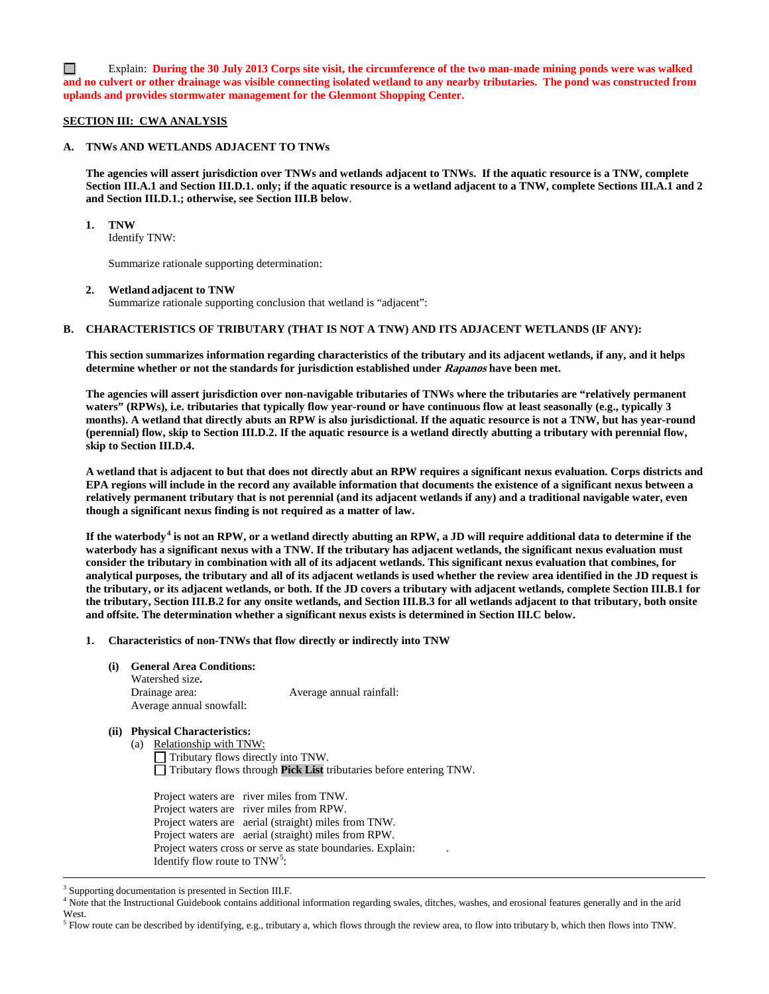$\Box$ Explain: **During the 30 July 2013 Corps site visit, the circumference of the two man-made mining ponds were was walked and no culvert or other drainage was visible connecting isolated wetland to any nearby tributaries. The pond was constructed from uplands and provides stormwater management for the Glenmont Shopping Center.**

### **SECTION III: CWA ANALYSIS**

### **A. TNWs AND WETLANDS ADJACENT TO TNWs**

**The agencies will assert jurisdiction over TNWs and wetlands adjacent to TNWs. If the aquatic resource is a TNW, complete Section III.A.1 and Section III.D.1. only; if the aquatic resource is a wetland adjacent to a TNW, complete Sections III.A.1 and 2 and Section III.D.1.; otherwise, see Section III.B below**.

### **1. TNW**

Identify TNW:

Summarize rationale supporting determination:

### **2. Wetland adjacent to TNW**

Summarize rationale supporting conclusion that wetland is "adjacent":

### **B. CHARACTERISTICS OF TRIBUTARY (THAT IS NOT A TNW) AND ITS ADJACENT WETLANDS (IF ANY):**

**This section summarizes information regarding characteristics of the tributary and its adjacent wetlands, if any, and it helps determine whether or not the standards for jurisdiction established under Rapanos have been met.** 

**The agencies will assert jurisdiction over non-navigable tributaries of TNWs where the tributaries are "relatively permanent waters" (RPWs), i.e. tributaries that typically flow year-round or have continuous flow at least seasonally (e.g., typically 3 months). A wetland that directly abuts an RPW is also jurisdictional. If the aquatic resource is not a TNW, but has year-round (perennial) flow, skip to Section III.D.2. If the aquatic resource is a wetland directly abutting a tributary with perennial flow, skip to Section III.D.4.**

**A wetland that is adjacent to but that does not directly abut an RPW requires a significant nexus evaluation. Corps districts and EPA regions will include in the record any available information that documents the existence of a significant nexus between a relatively permanent tributary that is not perennial (and its adjacent wetlands if any) and a traditional navigable water, even though a significant nexus finding is not required as a matter of law.**

**If the waterbody[4](#page-1-0) is not an RPW, or a wetland directly abutting an RPW, a JD will require additional data to determine if the waterbody has a significant nexus with a TNW. If the tributary has adjacent wetlands, the significant nexus evaluation must consider the tributary in combination with all of its adjacent wetlands. This significant nexus evaluation that combines, for analytical purposes, the tributary and all of its adjacent wetlands is used whether the review area identified in the JD request is the tributary, or its adjacent wetlands, or both. If the JD covers a tributary with adjacent wetlands, complete Section III.B.1 for the tributary, Section III.B.2 for any onsite wetlands, and Section III.B.3 for all wetlands adjacent to that tributary, both onsite and offsite. The determination whether a significant nexus exists is determined in Section III.C below.**

- **1. Characteristics of non-TNWs that flow directly or indirectly into TNW**
	- **(i) General Area Conditions:**

 Watershed size**.** Drainage area: Average annual rainfall: Average annual snowfall:

### **(ii) Physical Characteristics:**

(a) Relationship with TNW:

 $\Box$  Tributary flows directly into TNW. Tributary flows through **Pick List** tributaries before entering TNW.

Project waters are river miles from TNW. Project waters are river miles from RPW. Project waters are aerial (straight) miles from TNW. Project waters are aerial (straight) miles from RPW. Project waters cross or serve as state boundaries. Explain: Identify flow route to  $TNW<sup>5</sup>$  $TNW<sup>5</sup>$  $TNW<sup>5</sup>$ :

 <sup>3</sup> Supporting documentation is presented in Section III.F.

<span id="page-1-0"></span><sup>&</sup>lt;sup>4</sup> Note that the Instructional Guidebook contains additional information regarding swales, ditches, washes, and erosional features generally and in the arid West.

<span id="page-1-1"></span> $<sup>5</sup>$  Flow route can be described by identifying, e.g., tributary a, which flows through the review area, to flow into tributary b, which then flows into TNW.</sup>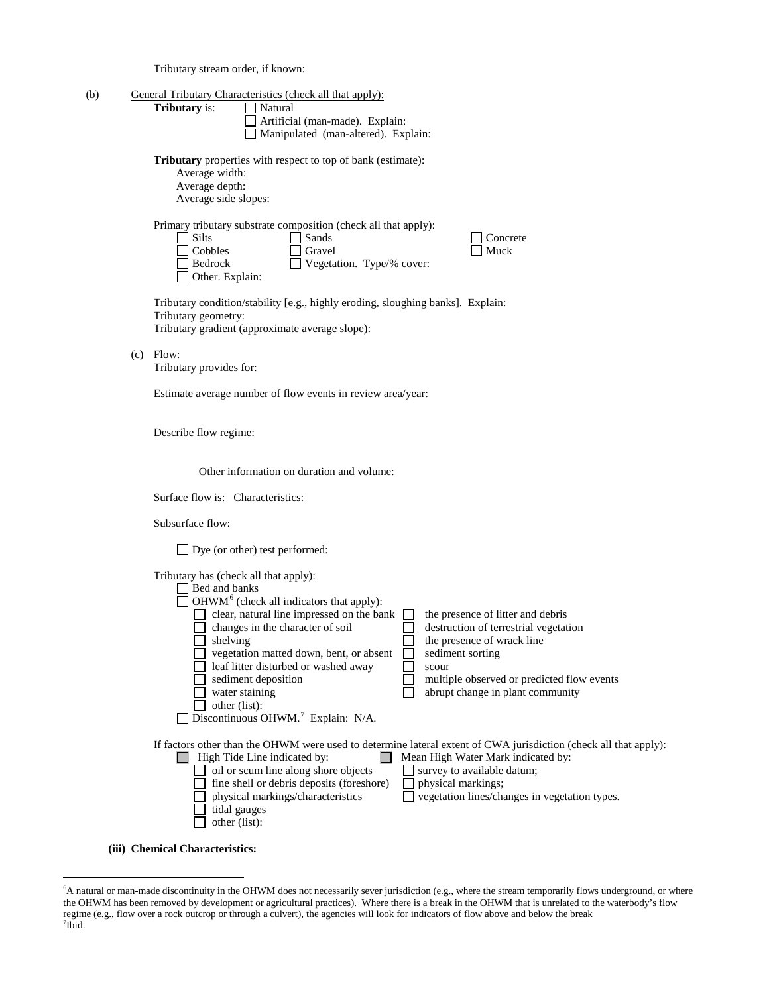Tributary stream order, if known:

| (b) |                                                                                                                                | General Tributary Characteristics (check all that apply):                                                                                                                                                                                                                                                                                                                            |                                                                                                                                                                                                                                                             |  |
|-----|--------------------------------------------------------------------------------------------------------------------------------|--------------------------------------------------------------------------------------------------------------------------------------------------------------------------------------------------------------------------------------------------------------------------------------------------------------------------------------------------------------------------------------|-------------------------------------------------------------------------------------------------------------------------------------------------------------------------------------------------------------------------------------------------------------|--|
|     | Tributary is:                                                                                                                  | Natural                                                                                                                                                                                                                                                                                                                                                                              |                                                                                                                                                                                                                                                             |  |
|     |                                                                                                                                | Artificial (man-made). Explain:                                                                                                                                                                                                                                                                                                                                                      |                                                                                                                                                                                                                                                             |  |
|     |                                                                                                                                | Manipulated (man-altered). Explain:                                                                                                                                                                                                                                                                                                                                                  |                                                                                                                                                                                                                                                             |  |
|     |                                                                                                                                | <b>Tributary</b> properties with respect to top of bank (estimate):<br>Average width:<br>Average depth:<br>Average side slopes:                                                                                                                                                                                                                                                      |                                                                                                                                                                                                                                                             |  |
|     | Silts<br>Cobbles<br>Bedrock<br>Other. Explain:                                                                                 | Primary tributary substrate composition (check all that apply):<br>Sands<br>Gravel<br>Vegetation. Type/% cover:                                                                                                                                                                                                                                                                      | Concrete<br>Muck                                                                                                                                                                                                                                            |  |
|     |                                                                                                                                | Tributary condition/stability [e.g., highly eroding, sloughing banks]. Explain:<br>Tributary geometry:<br>Tributary gradient (approximate average slope):                                                                                                                                                                                                                            |                                                                                                                                                                                                                                                             |  |
|     | $(c)$ Flow:<br>Tributary provides for:<br>Estimate average number of flow events in review area/year:<br>Describe flow regime: |                                                                                                                                                                                                                                                                                                                                                                                      |                                                                                                                                                                                                                                                             |  |
|     |                                                                                                                                |                                                                                                                                                                                                                                                                                                                                                                                      |                                                                                                                                                                                                                                                             |  |
|     |                                                                                                                                |                                                                                                                                                                                                                                                                                                                                                                                      |                                                                                                                                                                                                                                                             |  |
|     |                                                                                                                                | Other information on duration and volume:                                                                                                                                                                                                                                                                                                                                            |                                                                                                                                                                                                                                                             |  |
|     | Surface flow is: Characteristics:                                                                                              |                                                                                                                                                                                                                                                                                                                                                                                      |                                                                                                                                                                                                                                                             |  |
|     | Subsurface flow:                                                                                                               |                                                                                                                                                                                                                                                                                                                                                                                      |                                                                                                                                                                                                                                                             |  |
|     |                                                                                                                                | $\Box$ Dye (or other) test performed:                                                                                                                                                                                                                                                                                                                                                |                                                                                                                                                                                                                                                             |  |
|     | Bed and banks<br>shelving                                                                                                      | Tributary has (check all that apply):<br>$\Box$ OHWM <sup>6</sup> (check all indicators that apply):<br>clear, natural line impressed on the bank<br>changes in the character of soil<br>vegetation matted down, bent, or absent<br>leaf litter disturbed or washed away<br>sediment deposition<br>water staining<br>other (list):<br>Discontinuous OHWM. <sup>7</sup> Explain: N/A. | the presence of litter and debris<br>destruction of terrestrial vegetation<br>the presence of wrack line<br>sediment sorting<br>scour<br>multiple observed or predicted flow events<br>abrupt change in plant community                                     |  |
|     |                                                                                                                                | $\Box$ High Tide Line indicated by:<br>oil or scum line along shore objects<br>fine shell or debris deposits (foreshore)<br>physical markings/characteristics<br>tidal gauges<br>other (list):                                                                                                                                                                                       | If factors other than the OHWM were used to determine lateral extent of CWA jurisdiction (check all that apply):<br>Mean High Water Mark indicated by:<br>survey to available datum;<br>physical markings;<br>vegetation lines/changes in vegetation types. |  |
|     | (iii) Chemical Characteristics:                                                                                                |                                                                                                                                                                                                                                                                                                                                                                                      |                                                                                                                                                                                                                                                             |  |

<span id="page-2-1"></span><span id="page-2-0"></span> 6 A natural or man-made discontinuity in the OHWM does not necessarily sever jurisdiction (e.g., where the stream temporarily flows underground, or where the OHWM has been removed by development or agricultural practices). Where there is a break in the OHWM that is unrelated to the waterbody's flow regime (e.g., flow over a rock outcrop or through a culvert), the agencies will look for indicators of flow above and below the break <sup>7</sup>  $7$ Ibid.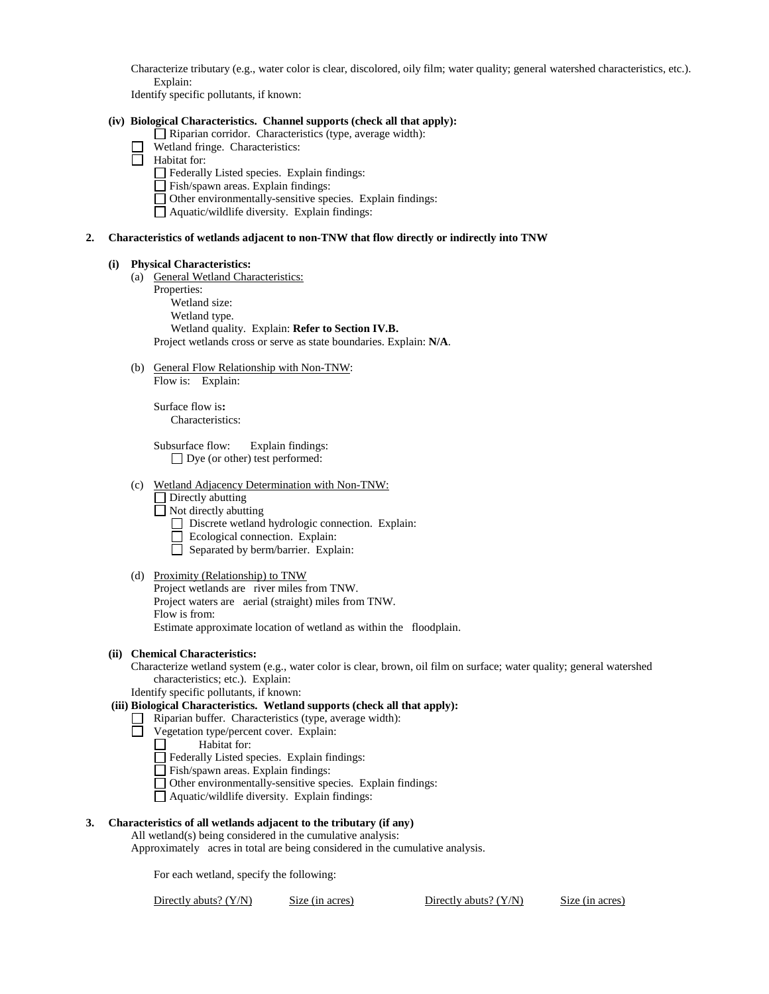Characterize tributary (e.g., water color is clear, discolored, oily film; water quality; general watershed characteristics, etc.). Explain:

Identify specific pollutants, if known:

### **(iv) Biological Characteristics. Channel supports (check all that apply):**

- Riparian corridor. Characteristics (type, average width):
- Wetland fringe. Characteristics:
- Habitat for:
	- Federally Listed species. Explain findings:
	- Fish/spawn areas. Explain findings:
	- Other environmentally-sensitive species. Explain findings:
	- $\Box$  Aquatic/wildlife diversity. Explain findings:

### **2. Characteristics of wetlands adjacent to non-TNW that flow directly or indirectly into TNW**

#### **(i) Physical Characteristics:**

- (a) General Wetland Characteristics:
	- Properties:

Wetland size: Wetland type. Wetland quality. Explain: **Refer to Section IV.B.** Project wetlands cross or serve as state boundaries. Explain: **N/A**.

(b) General Flow Relationship with Non-TNW: Flow is: Explain:

> Surface flow is**:**  Characteristics:

Subsurface flow:Explain findings: Dye (or other) test performed:

(c) Wetland Adjacency Determination with Non-TNW:

Directly abutting

 $\Box$  Not directly abutting

- Discrete wetland hydrologic connection. Explain:
- Ecological connection. Explain:
- Separated by berm/barrier. Explain:
- (d) Proximity (Relationship) to TNW Project wetlands are river miles from TNW.

Project waters are aerial (straight) miles from TNW. Flow is from: Estimate approximate location of wetland as within the floodplain.

### **(ii) Chemical Characteristics:**

Characterize wetland system (e.g., water color is clear, brown, oil film on surface; water quality; general watershed characteristics; etc.). Explain:

Identify specific pollutants, if known:

# **(iii) Biological Characteristics. Wetland supports (check all that apply):**

- $\Box$  Riparian buffer. Characteristics (type, average width):
- Vegetation type/percent cover. Explain:

 $\Box$ Habitat for:

- Federally Listed species. Explain findings:
- Fish/spawn areas. Explain findings:
- Other environmentally-sensitive species. Explain findings:
- Aquatic/wildlife diversity. Explain findings:

### **3. Characteristics of all wetlands adjacent to the tributary (if any)**

All wetland(s) being considered in the cumulative analysis:

Approximately acres in total are being considered in the cumulative analysis.

For each wetland, specify the following:

Directly abuts? (Y/N) Size (in acres) Directly abuts? (Y/N) Size (in acres)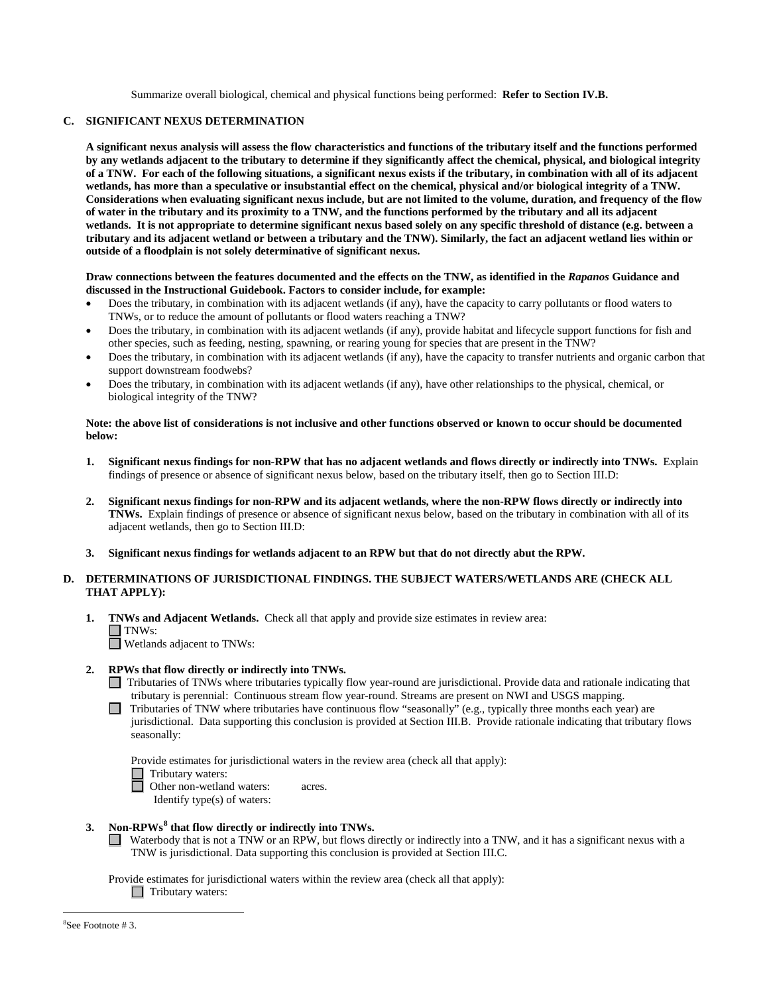Summarize overall biological, chemical and physical functions being performed: **Refer to Section IV.B.**

### **C. SIGNIFICANT NEXUS DETERMINATION**

**A significant nexus analysis will assess the flow characteristics and functions of the tributary itself and the functions performed by any wetlands adjacent to the tributary to determine if they significantly affect the chemical, physical, and biological integrity of a TNW. For each of the following situations, a significant nexus exists if the tributary, in combination with all of its adjacent wetlands, has more than a speculative or insubstantial effect on the chemical, physical and/or biological integrity of a TNW. Considerations when evaluating significant nexus include, but are not limited to the volume, duration, and frequency of the flow of water in the tributary and its proximity to a TNW, and the functions performed by the tributary and all its adjacent wetlands. It is not appropriate to determine significant nexus based solely on any specific threshold of distance (e.g. between a tributary and its adjacent wetland or between a tributary and the TNW). Similarly, the fact an adjacent wetland lies within or outside of a floodplain is not solely determinative of significant nexus.** 

### **Draw connections between the features documented and the effects on the TNW, as identified in the** *Rapanos* **Guidance and discussed in the Instructional Guidebook. Factors to consider include, for example:**

- Does the tributary, in combination with its adjacent wetlands (if any), have the capacity to carry pollutants or flood waters to TNWs, or to reduce the amount of pollutants or flood waters reaching a TNW?
- Does the tributary, in combination with its adjacent wetlands (if any), provide habitat and lifecycle support functions for fish and other species, such as feeding, nesting, spawning, or rearing young for species that are present in the TNW?
- Does the tributary, in combination with its adjacent wetlands (if any), have the capacity to transfer nutrients and organic carbon that support downstream foodwebs?
- Does the tributary, in combination with its adjacent wetlands (if any), have other relationships to the physical, chemical, or biological integrity of the TNW?

### **Note: the above list of considerations is not inclusive and other functions observed or known to occur should be documented below:**

- **1. Significant nexus findings for non-RPW that has no adjacent wetlands and flows directly or indirectly into TNWs.** Explain findings of presence or absence of significant nexus below, based on the tributary itself, then go to Section III.D:
- **2. Significant nexus findings for non-RPW and its adjacent wetlands, where the non-RPW flows directly or indirectly into TNWs.** Explain findings of presence or absence of significant nexus below, based on the tributary in combination with all of its adjacent wetlands, then go to Section III.D:
- **3. Significant nexus findings for wetlands adjacent to an RPW but that do not directly abut the RPW.**

# **D. DETERMINATIONS OF JURISDICTIONAL FINDINGS. THE SUBJECT WATERS/WETLANDS ARE (CHECK ALL THAT APPLY):**

**1. TNWs and Adjacent Wetlands.** Check all that apply and provide size estimates in review area: TNWs:

Wetlands adjacent to TNWs:

# **2. RPWs that flow directly or indirectly into TNWs.**

- Tributaries of TNWs where tributaries typically flow year-round are jurisdictional. Provide data and rationale indicating that tributary is perennial: Continuous stream flow year-round. Streams are present on NWI and USGS mapping.
- Tributaries of TNW where tributaries have continuous flow "seasonally" (e.g., typically three months each year) are jurisdictional. Data supporting this conclusion is provided at Section III.B. Provide rationale indicating that tributary flows seasonally:

Provide estimates for jurisdictional waters in the review area (check all that apply):

Tributary waters:<br>
Other non-waters:

Other non-wetland waters: acres. Identify type(s) of waters:

- **3. Non-RPWs[8](#page-4-0) that flow directly or indirectly into TNWs.**
	- Waterbody that is not a TNW or an RPW, but flows directly or indirectly into a TNW, and it has a significant nexus with a TNW is jurisdictional. Data supporting this conclusion is provided at Section III.C.

Provide estimates for jurisdictional waters within the review area (check all that apply): □ Tributary waters:

<span id="page-4-0"></span>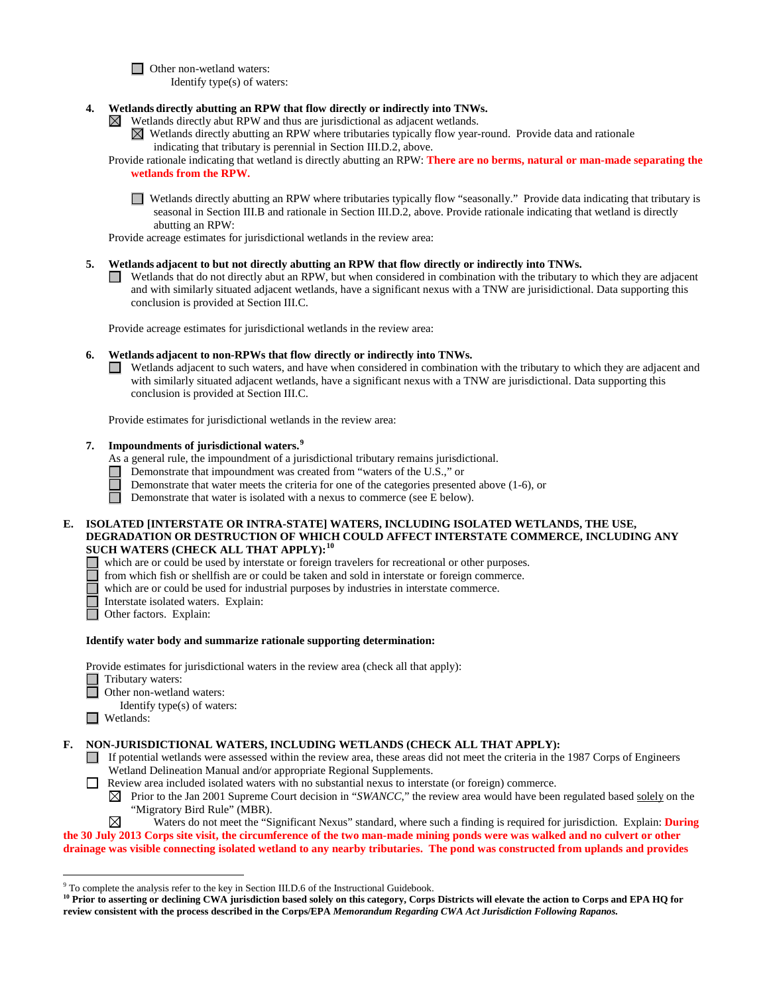□ Other non-wetland waters:

Identify type(s) of waters:

- **4. Wetlands directly abutting an RPW that flow directly or indirectly into TNWs.** 
	- $\boxtimes$  Wetlands directly abut RPW and thus are jurisdictional as adjacent wetlands.
		- $\boxtimes$  Wetlands directly abutting an RPW where tributaries typically flow year-round. Provide data and rationale indicating that tributary is perennial in Section III.D.2, above.
	- Provide rationale indicating that wetland is directly abutting an RPW: **There are no berms, natural or man-made separating the wetlands from the RPW.**
		- Wetlands directly abutting an RPW where tributaries typically flow "seasonally." Provide data indicating that tributary is seasonal in Section III.B and rationale in Section III.D.2, above. Provide rationale indicating that wetland is directly abutting an RPW:

Provide acreage estimates for jurisdictional wetlands in the review area:

- **5. Wetlands adjacent to but not directly abutting an RPW that flow directly or indirectly into TNWs.**
	- Wetlands that do not directly abut an RPW, but when considered in combination with the tributary to which they are adjacent and with similarly situated adjacent wetlands, have a significant nexus with a TNW are jurisidictional. Data supporting this conclusion is provided at Section III.C.

Provide acreage estimates for jurisdictional wetlands in the review area:

# **6. Wetlands adjacent to non-RPWs that flow directly or indirectly into TNWs.**

Wetlands adjacent to such waters, and have when considered in combination with the tributary to which they are adjacent and  $\Box$ with similarly situated adjacent wetlands, have a significant nexus with a TNW are jurisdictional. Data supporting this conclusion is provided at Section III.C.

Provide estimates for jurisdictional wetlands in the review area:

**7. Impoundments of jurisdictional waters.[9](#page-5-0)**

As a general rule, the impoundment of a jurisdictional tributary remains jurisdictional.

- Demonstrate that impoundment was created from "waters of the U.S.," or
- Demonstrate that water meets the criteria for one of the categories presented above (1-6), or

Demonstrate that water is isolated with a nexus to commerce (see E below).

# **E. ISOLATED [INTERSTATE OR INTRA-STATE] WATERS, INCLUDING ISOLATED WETLANDS, THE USE, DEGRADATION OR DESTRUCTION OF WHICH COULD AFFECT INTERSTATE COMMERCE, INCLUDING ANY SUCH WATERS (CHECK ALL THAT APPLY):[10](#page-5-1)**

- which are or could be used by interstate or foreign travelers for recreational or other purposes.
- from which fish or shellfish are or could be taken and sold in interstate or foreign commerce.
- П which are or could be used for industrial purposes by industries in interstate commerce.
- Interstate isolated waters. Explain:<br> **Other factors.** Explain:
	- Other factors.Explain:

# **Identify water body and summarize rationale supporting determination:**

Provide estimates for jurisdictional waters in the review area (check all that apply):

- Tributary waters:
	- **Other non-wetland waters:**
	- Identify type(s) of waters:
- Wetlands:

# **F. NON-JURISDICTIONAL WATERS, INCLUDING WETLANDS (CHECK ALL THAT APPLY):**

- If potential wetlands were assessed within the review area, these areas did not meet the criteria in the 1987 Corps of Engineers Wetland Delineation Manual and/or appropriate Regional Supplements.
- Review area included isolated waters with no substantial nexus to interstate (or foreign) commerce.
	- $\boxtimes$  Prior to the Jan 2001 Supreme Court decision in "*SWANCC*," the review area would have been regulated based solely on the "Migratory Bird Rule" (MBR).
- ⊠ Waters do not meet the "Significant Nexus" standard, where such a finding is required for jurisdiction. Explain: **During the 30 July 2013 Corps site visit, the circumference of the two man-made mining ponds were was walked and no culvert or other**

**drainage was visible connecting isolated wetland to any nearby tributaries. The pond was constructed from uplands and provides** 

<span id="page-5-0"></span><sup>&</sup>lt;sup>9</sup> To complete the analysis refer to the key in Section III.D.6 of the Instructional Guidebook.

<span id="page-5-1"></span><sup>&</sup>lt;sup>10</sup> Prior to asserting or declining CWA jurisdiction based solely on this category, Corps Districts will elevate the action to Corps and EPA HQ for **review consistent with the process described in the Corps/EPA** *Memorandum Regarding CWA Act Jurisdiction Following Rapanos.*